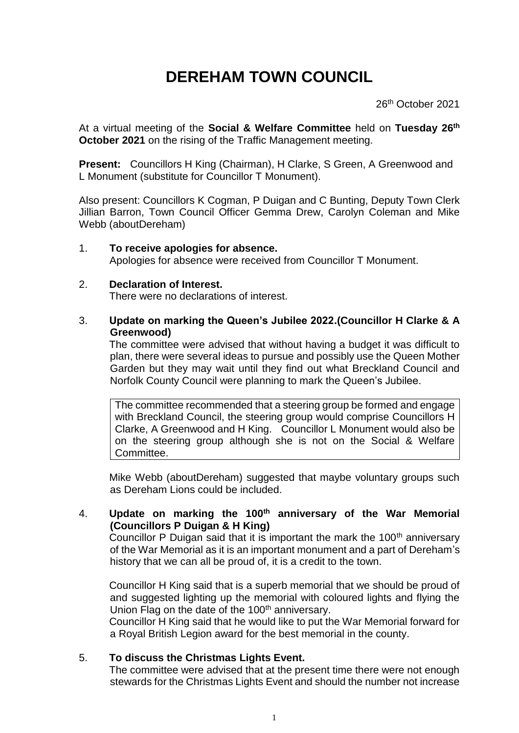# **DEREHAM TOWN COUNCIL**

26th October 2021

At a virtual meeting of the **Social & Welfare Committee** held on **Tuesday 26 th October 2021** on the rising of the Traffic Management meeting.

**Present:** Councillors H King (Chairman), H Clarke, S Green, A Greenwood and L Monument (substitute for Councillor T Monument).

Also present: Councillors K Cogman, P Duigan and C Bunting, Deputy Town Clerk Jillian Barron, Town Council Officer Gemma Drew, Carolyn Coleman and Mike Webb (aboutDereham)

1. **To receive apologies for absence.** Apologies for absence were received from Councillor T Monument.

#### 2. **Declaration of Interest.**

There were no declarations of interest.

3. **Update on marking the Queen's Jubilee 2022.(Councillor H Clarke & A Greenwood)**

The committee were advised that without having a budget it was difficult to plan, there were several ideas to pursue and possibly use the Queen Mother Garden but they may wait until they find out what Breckland Council and Norfolk County Council were planning to mark the Queen's Jubilee.

The committee recommended that a steering group be formed and engage with Breckland Council, the steering group would comprise Councillors H Clarke, A Greenwood and H King. Councillor L Monument would also be on the steering group although she is not on the Social & Welfare Committee.

Mike Webb (aboutDereham) suggested that maybe voluntary groups such as Dereham Lions could be included.

### 4. **Update on marking the 100th anniversary of the War Memorial (Councillors P Duigan & H King)**

Councillor P Duigan said that it is important the mark the  $100<sup>th</sup>$  anniversary of the War Memorial as it is an important monument and a part of Dereham's history that we can all be proud of, it is a credit to the town.

Councillor H King said that is a superb memorial that we should be proud of and suggested lighting up the memorial with coloured lights and flying the Union Flag on the date of the 100<sup>th</sup> anniversary.

Councillor H King said that he would like to put the War Memorial forward for a Royal British Legion award for the best memorial in the county.

### 5. **To discuss the Christmas Lights Event.**

The committee were advised that at the present time there were not enough stewards for the Christmas Lights Event and should the number not increase